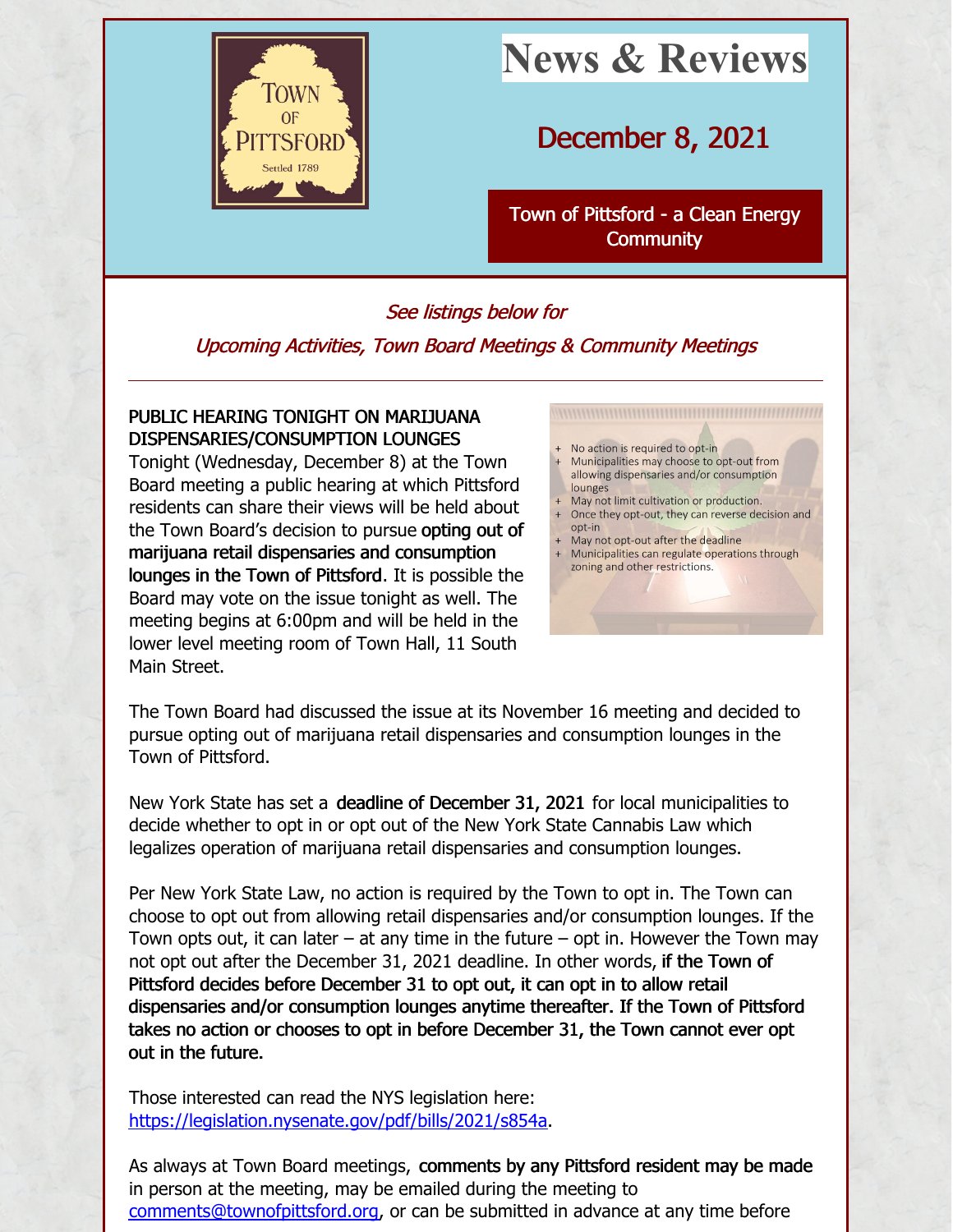

# **News & Reviews**

## December 8, 2021

Town of Pittsford - a Clean Energy **[Community](http://www.townofpittsford.org)** 

#### See listings below for

#### Upcoming Activities, Town Board Meetings & Community Meetings

### PUBLIC HEARING TONIGHT ON MARIJUANA DISPENSARIES/CONSUMPTION LOUNGES

Tonight (Wednesday, December 8) at the Town Board meeting a public hearing at which Pittsford residents can share their views will be held about the Town Board's decision to pursue opting out of marijuana retail dispensaries and consumption lounges in the Town of Pittsford. It is possible the Board may vote on the issue tonight as well. The meeting begins at 6:00pm and will be held in the lower level meeting room of Town Hall, 11 South Main Street.

- No action is required to opt-in
- Municipalities may choose to opt-out from allowing dispensaries and/or consumption lounges
- May not limit cultivation or production.
- + Once they opt-out, they can reverse decision and
- $\Omega$ nt-in May not opt-out after the deadline
- Municipalities can regulate operations through zoning and other restrictions.

The Town Board had discussed the issue at its November 16 meeting and decided to pursue opting out of marijuana retail dispensaries and consumption lounges in the Town of Pittsford.

New York State has set a deadline of December 31, 2021 for local municipalities to decide whether to opt in or opt out of the New York State Cannabis Law which legalizes operation of marijuana retail dispensaries and consumption lounges.

Per New York State Law, no action is required by the Town to opt in. The Town can choose to opt out from allowing retail dispensaries and/or consumption lounges. If the Town opts out, it can later  $-$  at any time in the future  $-$  opt in. However the Town may not opt out after the December 31, 2021 deadline. In other words, if the Town of Pittsford decides before December 31 to opt out, it can opt in to allow retail dispensaries and/or consumption lounges anytime thereafter. If the Town of Pittsford takes no action or chooses to opt in before December 31, the Town cannot ever opt out in the future.

Those interested can read the NYS legislation here: <https://legislation.nysenate.gov/pdf/bills/2021/s854a>.

As always at Town Board meetings, comments by any Pittsford resident may be made in person at the meeting, may be emailed during the meeting to [comments@townofpittsford.org](mailto:comments@townofpittsford.org), or can be submitted in advance at any time before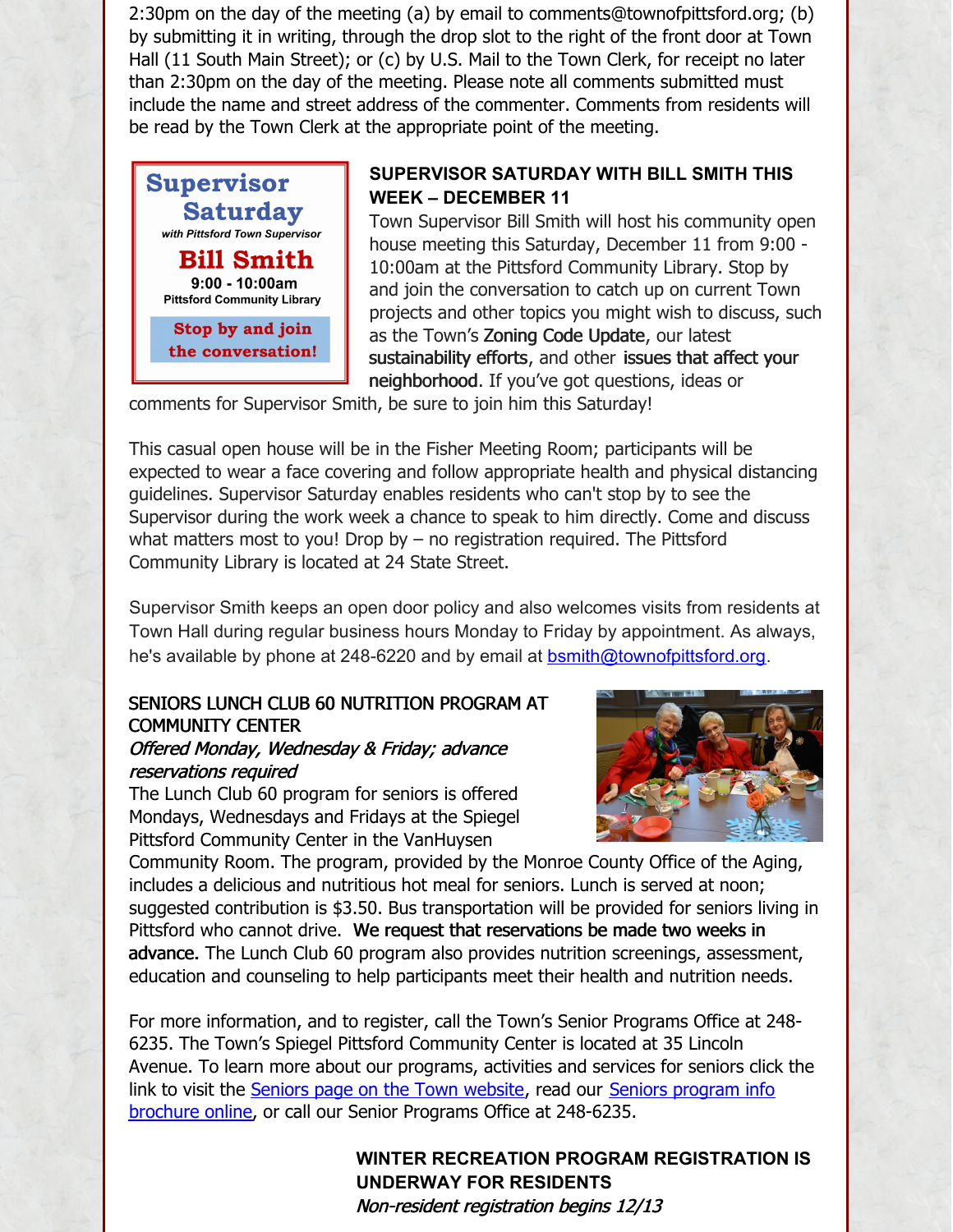2:30pm on the day of the meeting (a) by email to comments@townofpittsford.org; (b) by submitting it in writing, through the drop slot to the right of the front door at Town Hall (11 South Main Street); or (c) by U.S. Mail to the Town Clerk, for receipt no later than 2:30pm on the day of the meeting. Please note all comments submitted must include the name and street address of the commenter. Comments from residents will be read by the Town Clerk at the appropriate point of the meeting.



#### **SUPERVISOR SATURDAY WITH BILL SMITH THIS WEEK – DECEMBER 11**

Town Supervisor Bill Smith will host his community open house meeting this Saturday, December 11 from 9:00 - 10:00am at the Pittsford Community Library. Stop by and join the conversation to catch up on current Town projects and other topics you might wish to discuss, such as the Town's Zoning Code Update, our latest sustainability efforts, and other issues that affect your neighborhood. If you've got questions, ideas or

comments for Supervisor Smith, be sure to join him this Saturday!

This casual open house will be in the Fisher Meeting Room; participants will be expected to wear a face covering and follow appropriate health and physical distancing guidelines. Supervisor Saturday enables residents who can't stop by to see the Supervisor during the work week a chance to speak to him directly. Come and discuss what matters most to you! Drop by – no registration required. The Pittsford Community Library is located at 24 State Street.

Supervisor Smith keeps an open door policy and also welcomes visits from residents at Town Hall during regular business hours Monday to Friday by appointment. As always, he's available by phone at 248-6220 and by email at [bsmith@townofpittsford.org](mailto:bsmith@townofpittsford.org).

## SENIORS LUNCH CLUB 60 NUTRITION PROGRAM AT COMMUNITY CENTER

#### Offered Monday, Wednesday & Friday; advance reservations required

The Lunch Club 60 program for seniors is offered Mondays, Wednesdays and Fridays at the Spiegel Pittsford Community Center in the VanHuysen



Community Room. The program, provided by the Monroe County Office of the Aging, includes a delicious and nutritious hot meal for seniors. Lunch is served at noon; suggested contribution is \$3.50. Bus transportation will be provided for seniors living in Pittsford who cannot drive. We request that reservations be made two weeks in advance. The Lunch Club 60 program also provides nutrition screenings, assessment, education and counseling to help participants meet their health and nutrition needs.

For more information, and to register, call the Town's Senior Programs Office at 248- 6235. The Town's Spiegel Pittsford Community Center is located at 35 Lincoln Avenue. To learn more about our programs, activities and services for seniors click the link to visit the Seniors page on the Town [website](https://www.townofpittsford.org/seniors), read our Seniors program info brochure online, or call our Senior Programs Office at [248-6235.](https://townofpittsford.org/files/publications/Pittsford_Seniors_Programs.pdf)

### **WINTER RECREATION PROGRAM REGISTRATION IS UNDERWAY FOR RESIDENTS** Non-resident registration begins 12/13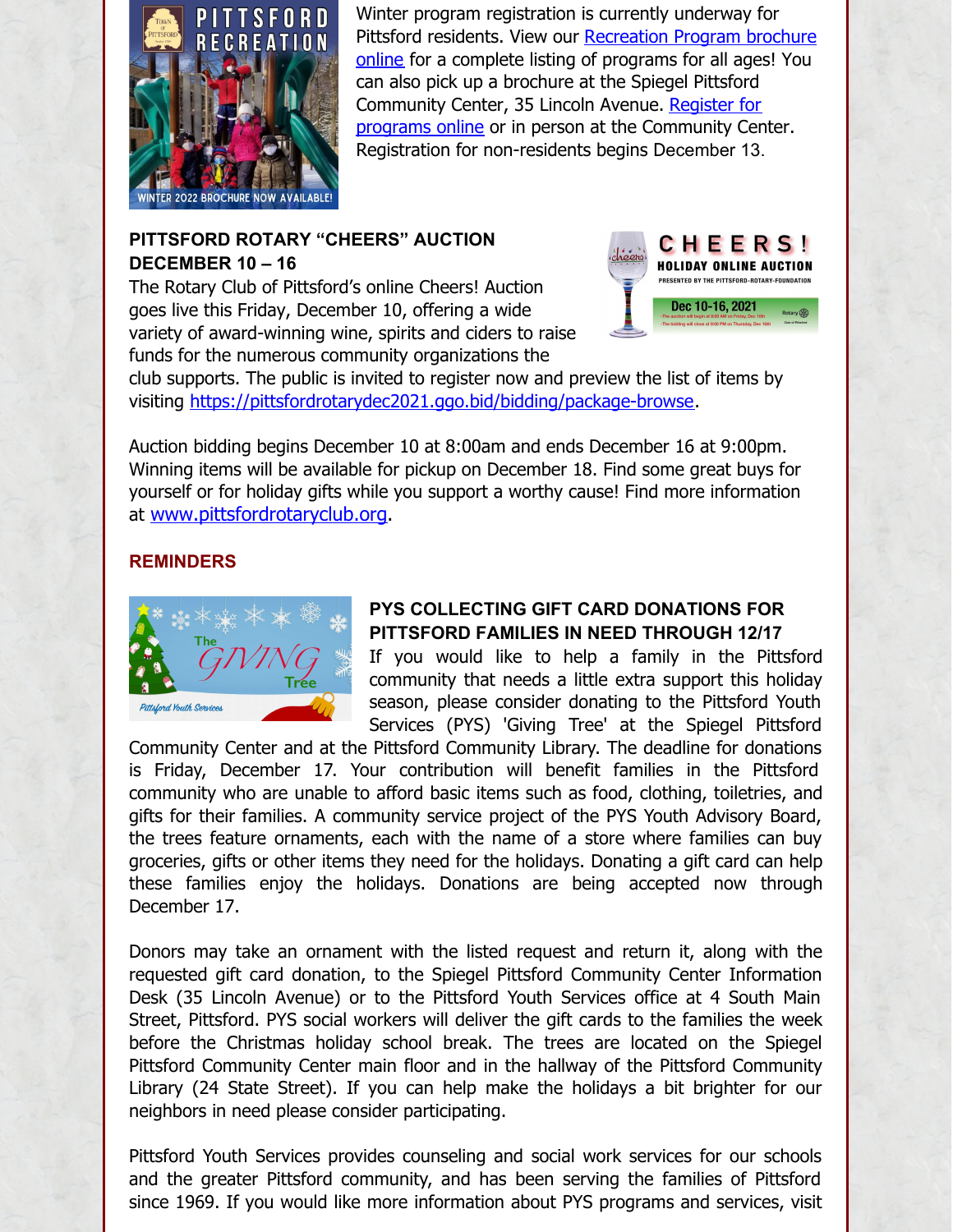

Winter program registration is currently underway for Pittsford residents. View our [Recreation](http://townofpittsford.org/files/publications/rec_brochure.pdf) Program brochure online for a complete listing of programs for all ages! You can also pick up a brochure at the Spiegel Pittsford [Community](https://web1.myvscloud.com/wbwsc/nypittsfordwt.wsc/splash.html) Center, 35 Lincoln Avenue. Register for programs online or in person at the Community Center. Registration for non-residents begins December 13.

#### **PITTSFORD ROTARY "CHEERS" AUCTION DECEMBER 10 – 16**

The Rotary Club of Pittsford's online Cheers! Auction goes live this Friday, December 10, offering a wide variety of award-winning wine, spirits and ciders to raise funds for the numerous community organizations the



club supports. The public is invited to register now and preview the list of items by visiting <https://pittsfordrotarydec2021.ggo.bid/bidding/package-browse>.

Auction bidding begins December 10 at 8:00am and ends December 16 at 9:00pm. Winning items will be available for pickup on December 18. Find some great buys for yourself or for holiday gifts while you support a worthy cause! Find more information at [www.pittsfordrotaryclub.org](http://www.pittsfordrotaryclub.org).

#### **REMINDERS**



#### **PYS COLLECTING GIFT CARD DONATIONS FOR PITTSFORD FAMILIES IN NEED THROUGH 12/17**

If you would like to help a family in the Pittsford community that needs a little extra support this holiday season, please consider donating to the Pittsford Youth Services (PYS) 'Giving Tree' at the Spiegel Pittsford

Community Center and at the Pittsford Community Library. The deadline for donations is Friday, December 17. Your contribution will benefit families in the Pittsford community who are unable to afford basic items such as food, clothing, toiletries, and gifts for their families. A community service project of the PYS Youth Advisory Board, the trees feature ornaments, each with the name of a store where families can buy groceries, gifts or other items they need for the holidays. Donating a gift card can help these families enjoy the holidays. Donations are being accepted now through December 17.

Donors may take an ornament with the listed request and return it, along with the requested gift card donation, to the Spiegel Pittsford Community Center Information Desk (35 Lincoln Avenue) or to the Pittsford Youth Services office at 4 South Main Street, Pittsford. PYS social workers will deliver the gift cards to the families the week before the Christmas holiday school break. The trees are located on the Spiegel Pittsford Community Center main floor and in the hallway of the Pittsford Community Library (24 State Street). If you can help make the holidays a bit brighter for our neighbors in need please consider participating.

Pittsford Youth Services provides counseling and social work services for our schools and the greater Pittsford community, and has been serving the families of Pittsford since 1969. If you would like more information about PYS programs and services, visit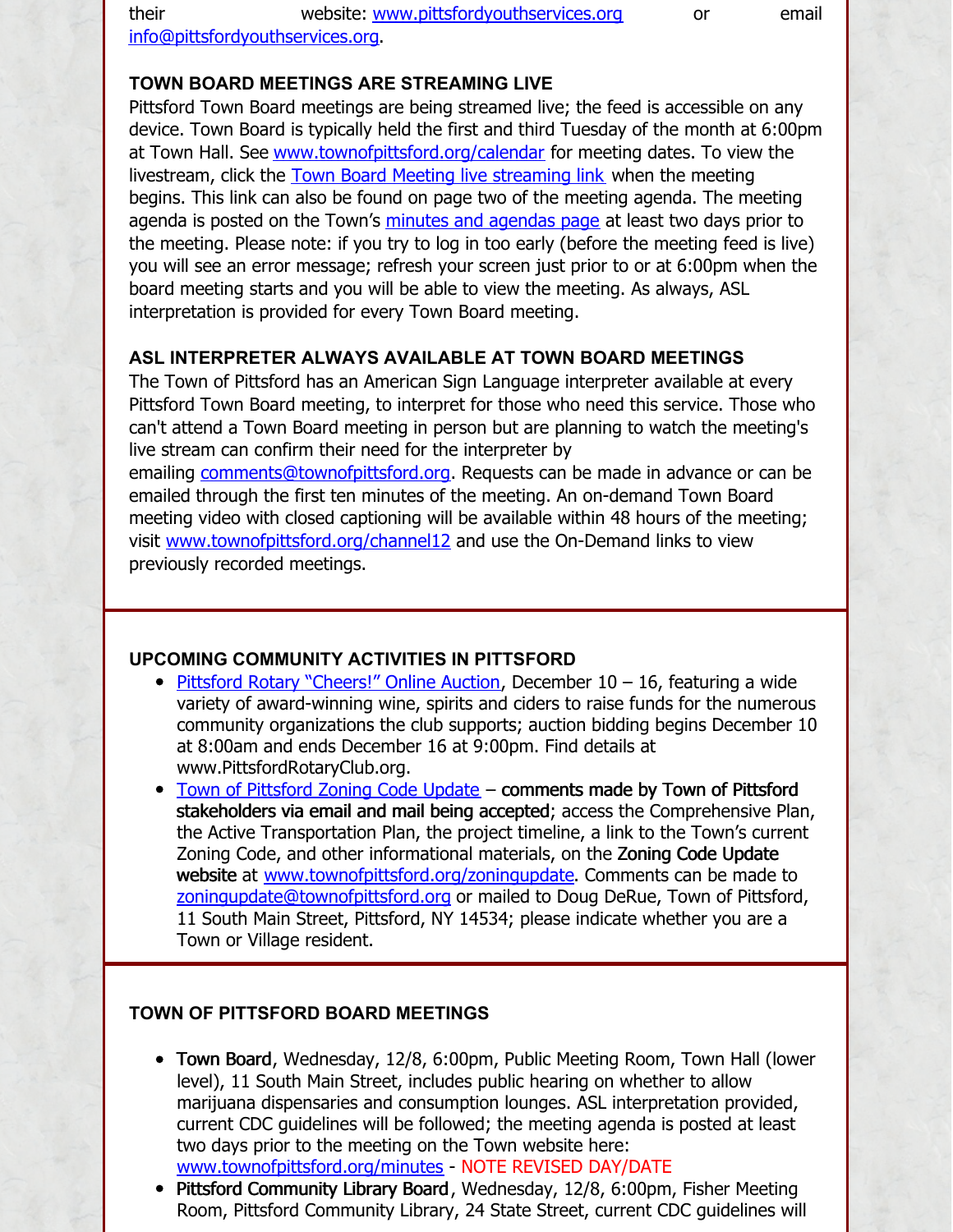their website: [www.pittsfordyouthservices.org](http://www.pittsfordyouthservices.org/) or email

[info@pittsfordyouthservices.org](mailto:info@pittsfordyouthservices.org?subject=PYS Giving Tree donation).

#### **TOWN BOARD MEETINGS ARE STREAMING LIVE**

Pittsford Town Board meetings are being streamed live; the feed is accessible on any device. Town Board is typically held the first and third Tuesday of the month at 6:00pm at Town Hall. See [www.townofpittsford.org/calendar](https://www.townofpittsford.org/calendar) for meeting dates. To view the livestream, click the Town Board Meeting live [streaming](https://videoplayer.telvue.com/player/FcqTL0OYMCGU6WlccUApyUL3twz4dm9V/stream/819?fullscreen=false&showtabssearch=true&autostart=true) link when the meeting begins. This link can also be found on page two of the meeting agenda. The meeting agenda is posted on the Town's minutes and [agendas](https://www.townofpittsford.org/minutes) page at least two days prior to the meeting. Please note: if you try to log in too early (before the meeting feed is live) you will see an error message; refresh your screen just prior to or at 6:00pm when the board meeting starts and you will be able to view the meeting. As always, ASL interpretation is provided for every Town Board meeting.

#### **ASL INTERPRETER ALWAYS AVAILABLE AT TOWN BOARD MEETINGS**

The Town of Pittsford has an American Sign Language interpreter available at every Pittsford Town Board meeting, to interpret for those who need this service. Those who can't attend a Town Board meeting in person but are planning to watch the meeting's live stream can confirm their need for the interpreter by

emailing [comments@townofpittsford.org](mailto:comments@townofpittsford.org?subject=ASL interperter request for Town Board meeting). Requests can be made in advance or can be emailed through the first ten minutes of the meeting. An on-demand Town Board meeting video with closed captioning will be available within 48 hours of the meeting; visit [www.townofpittsford.org/channel12](https://www.townofpittsford.org/channel12) and use the On-Demand links to view previously recorded meetings.

#### **UPCOMING COMMUNITY ACTIVITIES IN PITTSFORD**

- Pittsford Rotary ["Cheers!"](http://www.pittsfordrotaryclub.org/) Online Auction, December 10 16, featuring a wide variety of award-winning wine, spirits and ciders to raise funds for the numerous community organizations the club supports; auction bidding begins December 10 at 8:00am and ends December 16 at 9:00pm. Find details at www.PittsfordRotaryClub.org.
- Town of [Pittsford](https://www.townofpittsford.org/zoningupdate) Zoning Code Update comments made by Town of Pittsford stakeholders via email and mail being accepted; access the Comprehensive Plan, the Active Transportation Plan, the project timeline, a link to the Town's current Zoning Code, and other informational materials, on the Zoning Code Update website at [www.townofpittsford.org/zoningupdate](https://www.townofpittsford.org/zoningupdate). Comments can be made to [zoningupdate@townofpittsford.org](mailto:zoningupdate@townofpittsford.org) or mailed to Doug DeRue, Town of Pittsford, 11 South Main Street, Pittsford, NY 14534; please indicate whether you are a Town or Village resident.

#### **TOWN OF PITTSFORD BOARD MEETINGS**

- Town Board, Wednesday, 12/8, 6:00pm, Public Meeting Room, Town Hall (lower level), 11 South Main Street, includes public hearing on whether to allow marijuana dispensaries and consumption lounges. ASL interpretation provided, current CDC guidelines will be followed; the meeting agenda is posted at least two days prior to the meeting on the Town website here: [www.townofpittsford.org/minutes](https://www.townofpittsford.org/minutes) - NOTE REVISED DAY/DATE
- Pittsford Community Library Board, Wednesday, 12/8, 6:00pm, Fisher Meeting Room, Pittsford Community Library, 24 State Street, current CDC guidelines will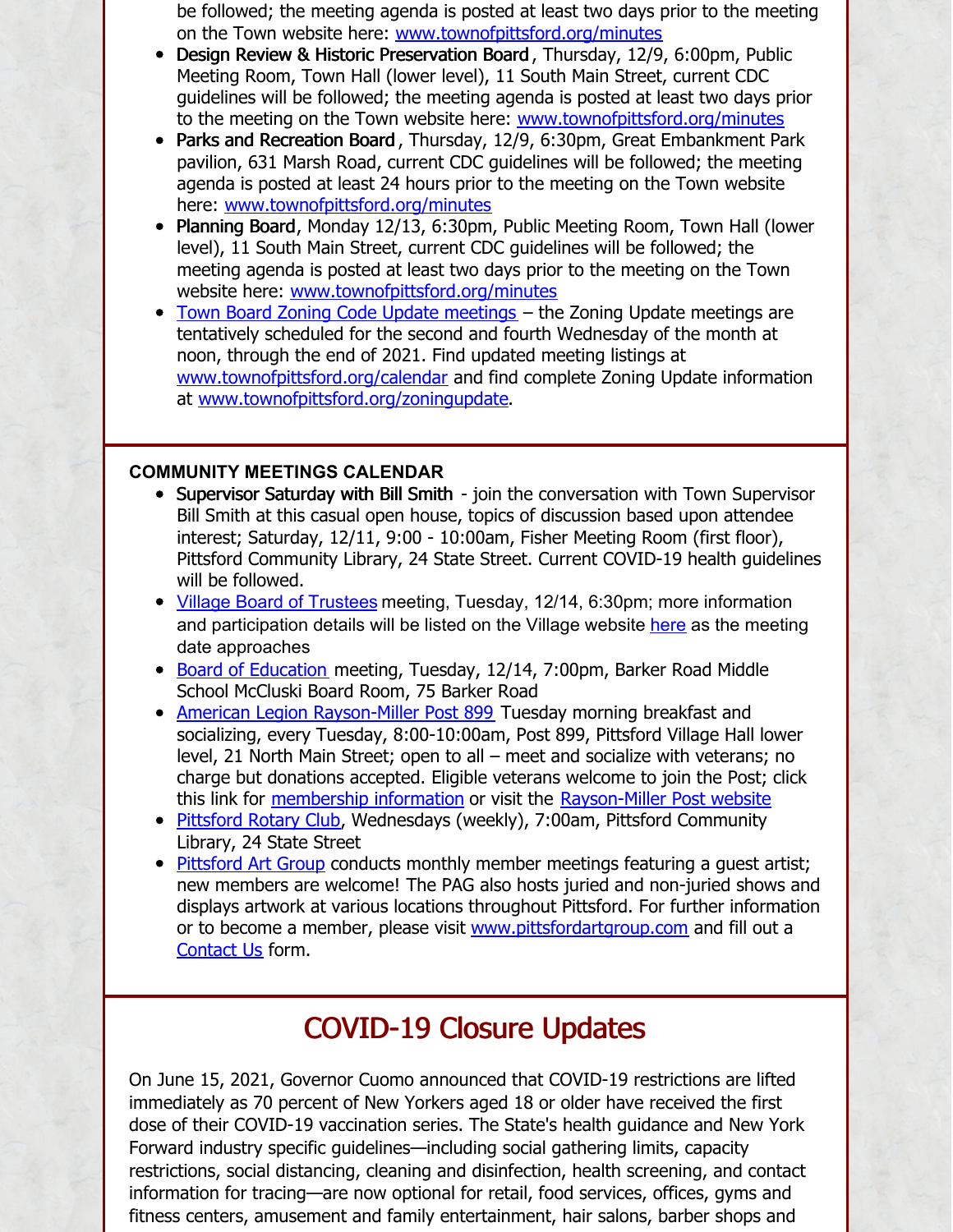be followed; the meeting agenda is posted at least two days prior to the meeting on the Town website here: [www.townofpittsford.org/minutes](https://www.townofpittsford.org/minutes)

- Design Review & Historic Preservation Board , Thursday, 12/9, 6:00pm, Public Meeting Room, Town Hall (lower level), 11 South Main Street, current CDC guidelines will be followed; the meeting agenda is posted at least two days prior to the meeting on the Town website here: [www.townofpittsford.org/minutes](https://www.townofpittsford.org/minutes)
- Parks and Recreation Board, Thursday, 12/9, 6:30pm, Great Embankment Park pavilion, 631 Marsh Road, current CDC guidelines will be followed; the meeting agenda is posted at least 24 hours prior to the meeting on the Town website here: [www.townofpittsford.org/minutes](https://www.townofpittsford.org/minutes)
- Planning Board, Monday 12/13, 6:30pm, Public Meeting Room, Town Hall (lower level), 11 South Main Street, current CDC guidelines will be followed; the meeting agenda is posted at least two days prior to the meeting on the Town website here: [www.townofpittsford.org/minutes](https://www.townofpittsford.org/minutes)
- Town Board Zoning Code Update [meetings](http://www.townofpittsford.org/zoningupdate) the Zoning Update meetings are tentatively scheduled for the second and fourth Wednesday of the month at noon, through the end of 2021. Find updated meeting listings at [www.townofpittsford.org/calendar](http://www.townofpittsford.org/calendar) and find complete Zoning Update information at [www.townofpittsford.org/zoningupdate](http://www.townofpittsford.org/zoningupdate).

#### **COMMUNITY MEETINGS CALENDAR**

- Supervisor Saturday with Bill Smith join the conversation with Town Supervisor Bill Smith at this casual open house, topics of discussion based upon attendee interest; Saturday, 12/11, 9:00 - 10:00am, Fisher Meeting Room (first floor), Pittsford Community Library, 24 State Street. Current COVID-19 health guidelines will be followed.
- Village Board of [Trustees](https://www.villageofpittsford.com/index.asp?SEC=6B5F9F64-600F-49B7-B476-DAABAB0EBAB1&DE=FDB0711F-E4AD-4D8A-8F19-525844926913) meeting, Tuesday, 12/14, 6:30pm; more information and participation details will be listed on the Village website [here](https://www.villageofpittsford.com/index.asp?SEC=6B5F9F64-600F-49B7-B476-DAABAB0EBAB1&DE=FDB0711F-E4AD-4D8A-8F19-525844926913) as the meeting date approaches
- Board of [Education](https://www.pittsfordschools.org/Page/10#calendar21171/20210928/month) meeting, Tuesday, 12/14, 7:00pm, Barker Road Middle School McCluski Board Room, 75 Barker Road
- American Legion [Rayson-Miller](http://www.raysonmillerpost899.org/) Post 899 Tuesday morning breakfast and socializing, every Tuesday, 8:00-10:00am, Post 899, Pittsford Village Hall lower level, 21 North Main Street; open to all – meet and socialize with veterans; no charge but donations accepted. Eligible veterans welcome to join the Post; click this link for [membership](https://raysonmillerpost899.org/contact.html) information or visit the [Rayson-Miller](http://www.raysonmillerpost899.org) Post website
- [Pittsford](http://www.pittsfordrotaryclub.org/) Rotary Club, Wednesdays (weekly), 7:00am, Pittsford Community Library, 24 State Street
- [Pittsford](https://pittsfordartgroup.wordpress.com/) Art Group conducts monthly member meetings featuring a guest artist; new members are welcome! The PAG also hosts juried and non-juried shows and displays artwork at various locations throughout Pittsford. For further information or to become a member, please visit [www.pittsfordartgroup.com](http://www.pittsfordartgroup.com) and fill out a [Contact](https://pittsfordartgroup.com/contact-us/) Us form.

## COVID-19 Closure Updates

On June 15, 2021, Governor Cuomo announced that COVID-19 restrictions are lifted immediately as 70 percent of New Yorkers aged 18 or older have received the first dose of their COVID-19 vaccination series. The State's health guidance and New York Forward industry specific guidelines—including social gathering limits, capacity restrictions, social distancing, cleaning and disinfection, health screening, and contact information for tracing—are now optional for retail, food services, offices, gyms and fitness centers, amusement and family entertainment, hair salons, barber shops and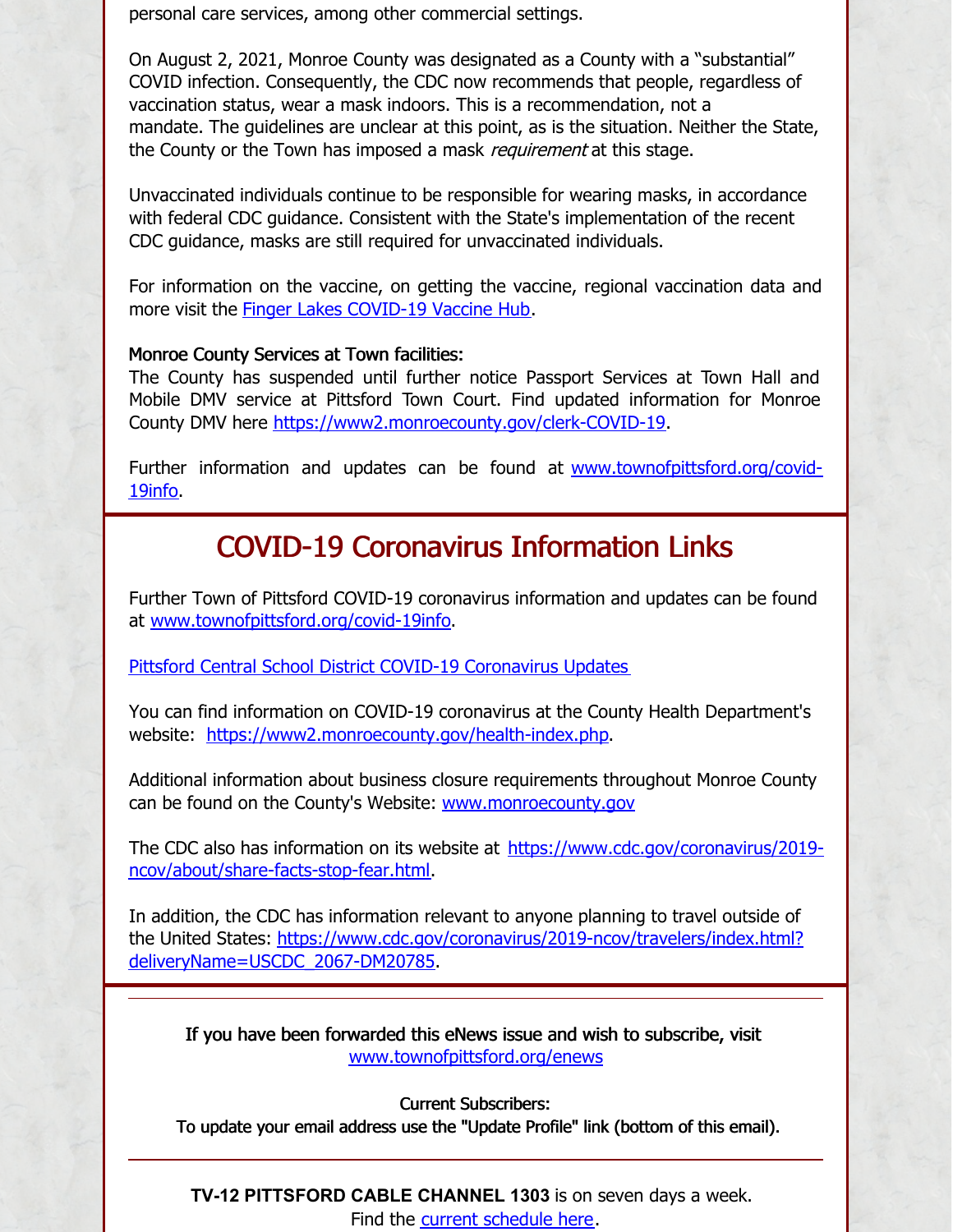personal care services, among other commercial settings.

On August 2, 2021, Monroe County was designated as a County with a "substantial" COVID infection. Consequently, the CDC now recommends that people, regardless of vaccination status, wear a mask indoors. This is a recommendation, not a mandate. The guidelines are unclear at this point, as is the situation. Neither the State, the County or the Town has imposed a mask *requirement* at this stage.

Unvaccinated individuals continue to be responsible for wearing masks, in accordance with federal CDC guidance. Consistent with the State's implementation of the recent CDC guidance, masks are still required for unvaccinated individuals.

For information on the vaccine, on getting the vaccine, regional vaccination data and more visit the Finger Lakes [COVID-19](https://www.flvaccinehub.com/) Vaccine Hub.

#### Monroe County Services at Town facilities:

The County has suspended until further notice Passport Services at Town Hall and Mobile DMV service at Pittsford Town Court. Find updated information for Monroe County DMV here <https://www2.monroecounty.gov/clerk-COVID-19>.

Further information and updates can be found at [www.townofpittsford.org/covid-](https://www.townofpittsford.org/covid-19info)19info.

## COVID-19 Coronavirus Information Links

Further Town of Pittsford COVID-19 coronavirus information and updates can be found at [www.townofpittsford.org/covid-19info](https://www.townofpittsford.org/covid-19info).

Pittsford Central School District COVID-19 [Coronavirus](https://www.pittsfordschools.org/COVID-19information) Updates

You can find information on COVID-19 coronavirus at the County Health Department's website: <https://www2.monroecounty.gov/health-index.php>.

Additional information about business closure requirements throughout Monroe County can be found on the County's Website: [www.monroecounty.gov](http://www.monroecounty.gov/)

The CDC also has information on its website at [https://www.cdc.gov/coronavirus/2019](https://www.cdc.gov/coronavirus/2019-ncov/about/share-facts-stop-fear.html) ncov/about/share-facts-stop-fear.html.

In addition, the CDC has information relevant to anyone planning to travel outside of the United States: [https://www.cdc.gov/coronavirus/2019-ncov/travelers/index.html?](https://www.cdc.gov/coronavirus/2019-ncov/travelers/index.html?deliveryName=USCDC_2067-DM20785) deliveryName=USCDC\_2067-DM20785.

If you have been forwarded this eNews issue and wish to subscribe, visit [www.townofpittsford.org/enews](https://www.townofpittsford.org/enews)

Current Subscribers:

To update your email address use the "Update Profile" link (bottom of this email).

**TV-12 PITTSFORD CABLE CHANNEL 1303** is on seven days a week. Find the current [schedule](https://www.townofpittsford.org/files/publications/Cable12Schedule.pdf) here.